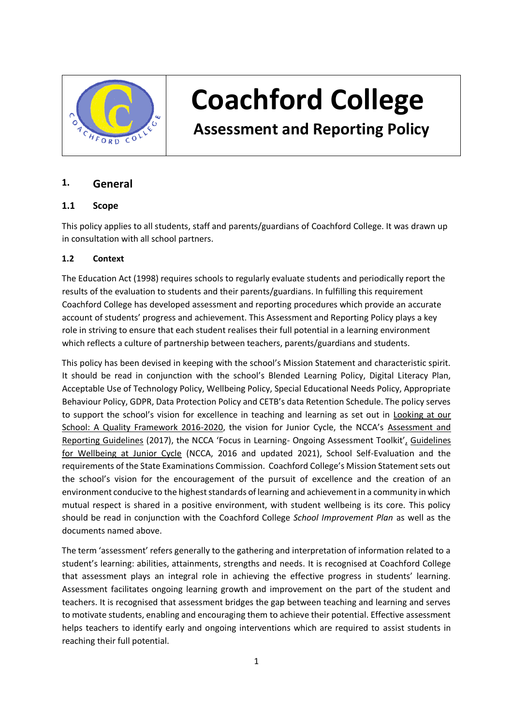

# **Coachford College**

 **Assessment and Reporting Policy**

# **1. General**

# **1.1 Scope**

This policy applies to all students, staff and parents/guardians of Coachford College. It was drawn up in consultation with all school partners.

## **1.2 Context**

The Education Act (1998) requires schools to regularly evaluate students and periodically report the results of the evaluation to students and their parents/guardians. In fulfilling this requirement Coachford College has developed assessment and reporting procedures which provide an accurate account of students' progress and achievement. This Assessment and Reporting Policy plays a key role in striving to ensure that each student realises their full potential in a learning environment which reflects a culture of partnership between teachers, parents/guardians and students.

This policy has been devised in keeping with the school's Mission Statement and characteristic spirit. It should be read in conjunction with the school's Blended Learning Policy, Digital Literacy Plan, Acceptable Use of Technology Policy, Wellbeing Policy, Special Educational Needs Policy, Appropriate Behaviour Policy, GDPR, Data Protection Policy and CETB's data Retention Schedule. The policy serves to support the school's vision for excellence in teaching and learning as set out in Looking at our School: A Quality Framework 2016-2020, the vision for Junior Cycle, the NCCA's Assessment and Reporting Guidelines (2017), the NCCA 'Focus in Learning- Ongoing Assessment Toolkit', Guidelines for Wellbeing at Junior Cycle (NCCA, 2016 and updated 2021), School Self-Evaluation and the requirements of the State Examinations Commission. Coachford College's Mission Statement sets out the school's vision for the encouragement of the pursuit of excellence and the creation of an environment conducive to the highest standards of learning and achievement in a community in which mutual respect is shared in a positive environment, with student wellbeing is its core. This policy should be read in conjunction with the Coachford College *School Improvement Plan* as well as the documents named above.

The term 'assessment' refers generally to the gathering and interpretation of information related to a student's learning: abilities, attainments, strengths and needs. It is recognised at Coachford College that assessment plays an integral role in achieving the effective progress in students' learning. Assessment facilitates ongoing learning growth and improvement on the part of the student and teachers. It is recognised that assessment bridges the gap between teaching and learning and serves to motivate students, enabling and encouraging them to achieve their potential. Effective assessment helps teachers to identify early and ongoing interventions which are required to assist students in reaching their full potential.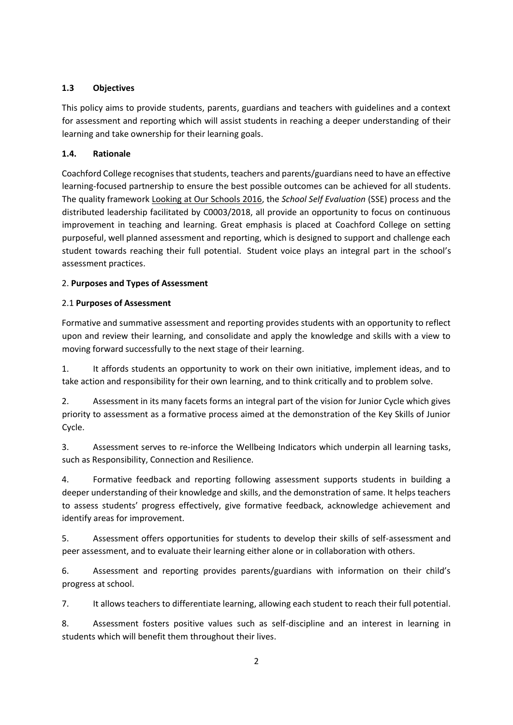## **1.3 Objectives**

This policy aims to provide students, parents, guardians and teachers with guidelines and a context for assessment and reporting which will assist students in reaching a deeper understanding of their learning and take ownership for their learning goals.

## **1.4. Rationale**

Coachford College recognises that students, teachers and parents/guardians need to have an effective learning-focused partnership to ensure the best possible outcomes can be achieved for all students. The quality framework Looking at Our Schools 2016, the *School Self Evaluation* (SSE) process and the distributed leadership facilitated by C0003/2018, all provide an opportunity to focus on continuous improvement in teaching and learning. Great emphasis is placed at Coachford College on setting purposeful, well planned assessment and reporting, which is designed to support and challenge each student towards reaching their full potential. Student voice plays an integral part in the school's assessment practices.

## 2. **Purposes and Types of Assessment**

## 2.1 **Purposes of Assessment**

Formative and summative assessment and reporting provides students with an opportunity to reflect upon and review their learning, and consolidate and apply the knowledge and skills with a view to moving forward successfully to the next stage of their learning.

1. It affords students an opportunity to work on their own initiative, implement ideas, and to take action and responsibility for their own learning, and to think critically and to problem solve.

2. Assessment in its many facets forms an integral part of the vision for Junior Cycle which gives priority to assessment as a formative process aimed at the demonstration of the Key Skills of Junior Cycle.

3. Assessment serves to re-inforce the Wellbeing Indicators which underpin all learning tasks, such as Responsibility, Connection and Resilience.

4. Formative feedback and reporting following assessment supports students in building a deeper understanding of their knowledge and skills, and the demonstration of same. It helps teachers to assess students' progress effectively, give formative feedback, acknowledge achievement and identify areas for improvement.

5. Assessment offers opportunities for students to develop their skills of self-assessment and peer assessment, and to evaluate their learning either alone or in collaboration with others.

6. Assessment and reporting provides parents/guardians with information on their child's progress at school.

7. It allows teachers to differentiate learning, allowing each student to reach their full potential.

8. Assessment fosters positive values such as self-discipline and an interest in learning in students which will benefit them throughout their lives.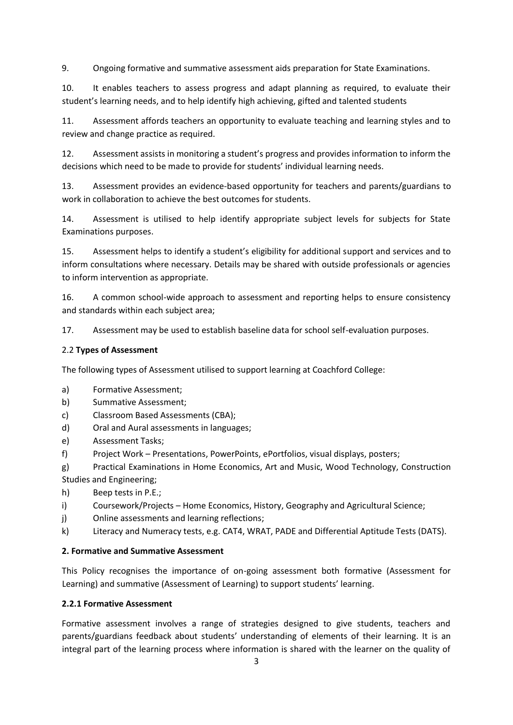9. Ongoing formative and summative assessment aids preparation for State Examinations.

10. It enables teachers to assess progress and adapt planning as required, to evaluate their student's learning needs, and to help identify high achieving, gifted and talented students

11. Assessment affords teachers an opportunity to evaluate teaching and learning styles and to review and change practice as required.

12. Assessment assists in monitoring a student's progress and provides information to inform the decisions which need to be made to provide for students' individual learning needs.

13. Assessment provides an evidence-based opportunity for teachers and parents/guardians to work in collaboration to achieve the best outcomes for students.

14. Assessment is utilised to help identify appropriate subject levels for subjects for State Examinations purposes.

15. Assessment helps to identify a student's eligibility for additional support and services and to inform consultations where necessary. Details may be shared with outside professionals or agencies to inform intervention as appropriate.

16. A common school-wide approach to assessment and reporting helps to ensure consistency and standards within each subject area;

17. Assessment may be used to establish baseline data for school self-evaluation purposes.

## 2.2 **Types of Assessment**

The following types of Assessment utilised to support learning at Coachford College:

- a) Formative Assessment;
- b) Summative Assessment;
- c) Classroom Based Assessments (CBA);
- d) Oral and Aural assessments in languages;
- e) Assessment Tasks;
- f) Project Work Presentations, PowerPoints, ePortfolios, visual displays, posters;
- g) Practical Examinations in Home Economics, Art and Music, Wood Technology, Construction Studies and Engineering;
- h) Beep tests in P.E.;
- i) Coursework/Projects Home Economics, History, Geography and Agricultural Science;
- j) Online assessments and learning reflections;
- k) Literacy and Numeracy tests, e.g. CAT4, WRAT, PADE and Differential Aptitude Tests (DATS).

## **2. Formative and Summative Assessment**

This Policy recognises the importance of on-going assessment both formative (Assessment for Learning) and summative (Assessment of Learning) to support students' learning.

## **2.2.1 Formative Assessment**

Formative assessment involves a range of strategies designed to give students, teachers and parents/guardians feedback about students' understanding of elements of their learning. It is an integral part of the learning process where information is shared with the learner on the quality of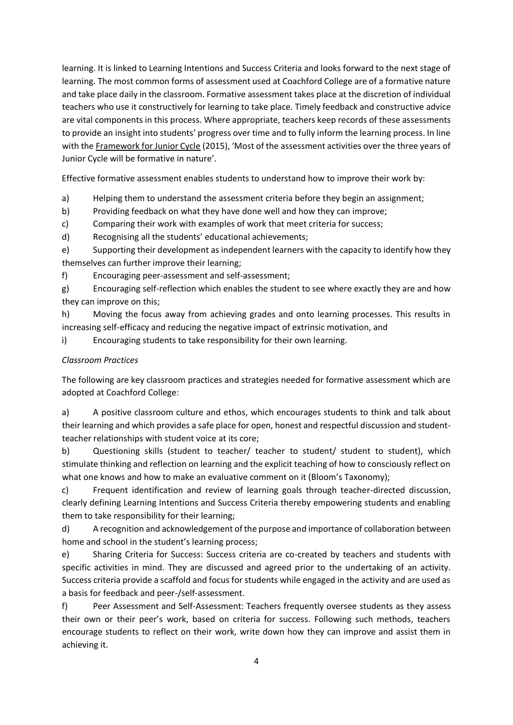learning. It is linked to Learning Intentions and Success Criteria and looks forward to the next stage of learning. The most common forms of assessment used at Coachford College are of a formative nature and take place daily in the classroom. Formative assessment takes place at the discretion of individual teachers who use it constructively for learning to take place. Timely feedback and constructive advice are vital components in this process. Where appropriate, teachers keep records of these assessments to provide an insight into students' progress over time and to fully inform the learning process. In line with the Framework for Junior Cycle (2015), 'Most of the assessment activities over the three years of Junior Cycle will be formative in nature'.

Effective formative assessment enables students to understand how to improve their work by:

a) Helping them to understand the assessment criteria before they begin an assignment;

b) Providing feedback on what they have done well and how they can improve;

c) Comparing their work with examples of work that meet criteria for success;

d) Recognising all the students' educational achievements;

e) Supporting their development as independent learners with the capacity to identify how they themselves can further improve their learning;

f) Encouraging peer-assessment and self-assessment;

g) Encouraging self-reflection which enables the student to see where exactly they are and how they can improve on this;

h) Moving the focus away from achieving grades and onto learning processes. This results in increasing self-efficacy and reducing the negative impact of extrinsic motivation, and

i) Encouraging students to take responsibility for their own learning.

## *Classroom Practices*

The following are key classroom practices and strategies needed for formative assessment which are adopted at Coachford College:

a) A positive classroom culture and ethos, which encourages students to think and talk about their learning and which provides a safe place for open, honest and respectful discussion and studentteacher relationships with student voice at its core;

b) Questioning skills (student to teacher/ teacher to student/ student to student), which stimulate thinking and reflection on learning and the explicit teaching of how to consciously reflect on what one knows and how to make an evaluative comment on it (Bloom's Taxonomy);

c) Frequent identification and review of learning goals through teacher-directed discussion, clearly defining Learning Intentions and Success Criteria thereby empowering students and enabling them to take responsibility for their learning;

d) A recognition and acknowledgement of the purpose and importance of collaboration between home and school in the student's learning process;

e) Sharing Criteria for Success: Success criteria are co-created by teachers and students with specific activities in mind. They are discussed and agreed prior to the undertaking of an activity. Success criteria provide a scaffold and focus for students while engaged in the activity and are used as a basis for feedback and peer-/self-assessment.

f) Peer Assessment and Self-Assessment: Teachers frequently oversee students as they assess their own or their peer's work, based on criteria for success. Following such methods, teachers encourage students to reflect on their work, write down how they can improve and assist them in achieving it.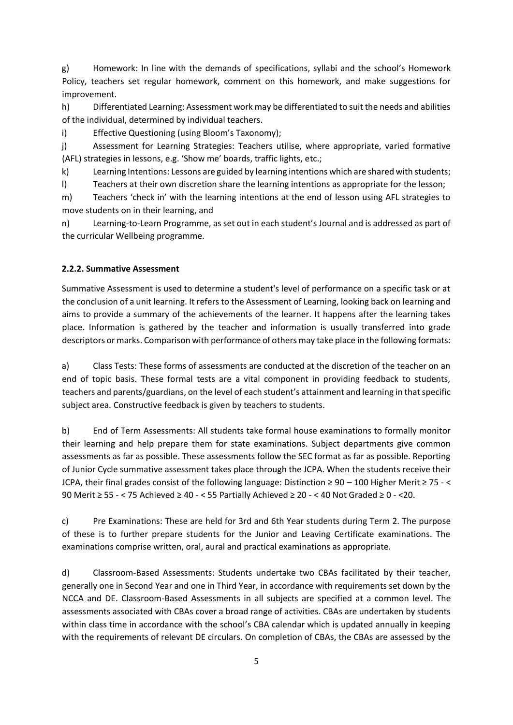g) Homework: In line with the demands of specifications, syllabi and the school's Homework Policy, teachers set regular homework, comment on this homework, and make suggestions for improvement.

h) Differentiated Learning: Assessment work may be differentiated to suit the needs and abilities of the individual, determined by individual teachers.

i) Effective Questioning (using Bloom's Taxonomy);

j) Assessment for Learning Strategies: Teachers utilise, where appropriate, varied formative (AFL) strategies in lessons, e.g. 'Show me' boards, traffic lights, etc.;

k) Learning Intentions: Lessons are guided by learning intentions which are shared with students;

l) Teachers at their own discretion share the learning intentions as appropriate for the lesson;

m) Teachers 'check in' with the learning intentions at the end of lesson using AFL strategies to move students on in their learning, and

n) Learning-to-Learn Programme, as set out in each student's Journal and is addressed as part of the curricular Wellbeing programme.

## **2.2.2. Summative Assessment**

Summative Assessment is used to determine a student's level of performance on a specific task or at the conclusion of a unit learning. It refers to the Assessment of Learning, looking back on learning and aims to provide a summary of the achievements of the learner. It happens after the learning takes place. Information is gathered by the teacher and information is usually transferred into grade descriptors or marks. Comparison with performance of others may take place in the following formats:

a) Class Tests: These forms of assessments are conducted at the discretion of the teacher on an end of topic basis. These formal tests are a vital component in providing feedback to students, teachers and parents/guardians, on the level of each student's attainment and learning in that specific subject area. Constructive feedback is given by teachers to students.

b) End of Term Assessments: All students take formal house examinations to formally monitor their learning and help prepare them for state examinations. Subject departments give common assessments as far as possible. These assessments follow the SEC format as far as possible. Reporting of Junior Cycle summative assessment takes place through the JCPA. When the students receive their JCPA, their final grades consist of the following language: Distinction ≥ 90 – 100 Higher Merit ≥ 75 - < 90 Merit ≥ 55 - < 75 Achieved ≥ 40 - < 55 Partially Achieved ≥ 20 - < 40 Not Graded ≥ 0 - <20.

c) Pre Examinations: These are held for 3rd and 6th Year students during Term 2. The purpose of these is to further prepare students for the Junior and Leaving Certificate examinations. The examinations comprise written, oral, aural and practical examinations as appropriate.

d) Classroom-Based Assessments: Students undertake two CBAs facilitated by their teacher, generally one in Second Year and one in Third Year, in accordance with requirements set down by the NCCA and DE. Classroom-Based Assessments in all subjects are specified at a common level. The assessments associated with CBAs cover a broad range of activities. CBAs are undertaken by students within class time in accordance with the school's CBA calendar which is updated annually in keeping with the requirements of relevant DE circulars. On completion of CBAs, the CBAs are assessed by the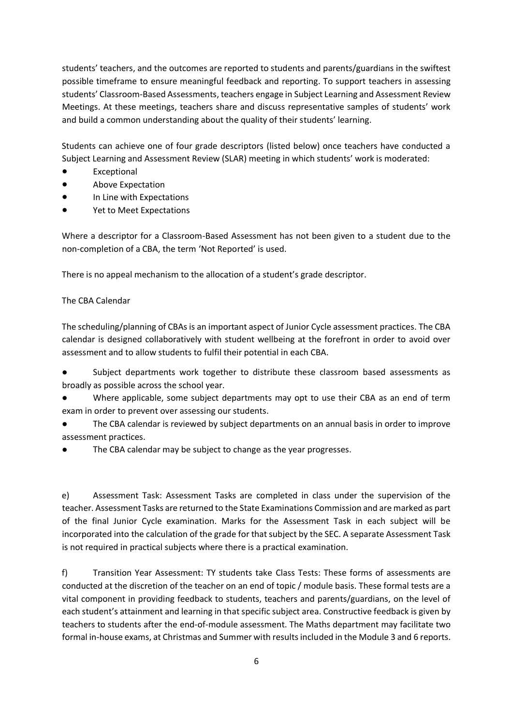students' teachers, and the outcomes are reported to students and parents/guardians in the swiftest possible timeframe to ensure meaningful feedback and reporting. To support teachers in assessing students' Classroom-Based Assessments, teachers engage in Subject Learning and Assessment Review Meetings. At these meetings, teachers share and discuss representative samples of students' work and build a common understanding about the quality of their students' learning.

Students can achieve one of four grade descriptors (listed below) once teachers have conducted a Subject Learning and Assessment Review (SLAR) meeting in which students' work is moderated:

- Exceptional
- Above Expectation
- In Line with Expectations
- Yet to Meet Expectations

Where a descriptor for a Classroom-Based Assessment has not been given to a student due to the non-completion of a CBA, the term 'Not Reported' is used.

There is no appeal mechanism to the allocation of a student's grade descriptor.

## The CBA Calendar

The scheduling/planning of CBAs is an important aspect of Junior Cycle assessment practices. The CBA calendar is designed collaboratively with student wellbeing at the forefront in order to avoid over assessment and to allow students to fulfil their potential in each CBA.

- Subject departments work together to distribute these classroom based assessments as broadly as possible across the school year.
- Where applicable, some subject departments may opt to use their CBA as an end of term exam in order to prevent over assessing our students.
- The CBA calendar is reviewed by subject departments on an annual basis in order to improve assessment practices.
- The CBA calendar may be subject to change as the year progresses.

e) Assessment Task: Assessment Tasks are completed in class under the supervision of the teacher. Assessment Tasks are returned to the State Examinations Commission and are marked as part of the final Junior Cycle examination. Marks for the Assessment Task in each subject will be incorporated into the calculation of the grade for that subject by the SEC. A separate Assessment Task is not required in practical subjects where there is a practical examination.

f) Transition Year Assessment: TY students take Class Tests: These forms of assessments are conducted at the discretion of the teacher on an end of topic / module basis. These formal tests are a vital component in providing feedback to students, teachers and parents/guardians, on the level of each student's attainment and learning in that specific subject area. Constructive feedback is given by teachers to students after the end-of-module assessment. The Maths department may facilitate two formal in-house exams, at Christmas and Summer with results included in the Module 3 and 6 reports.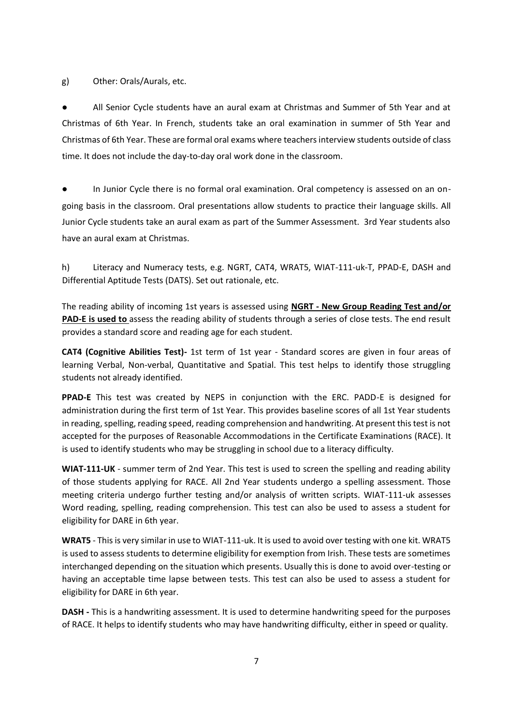g) Other: Orals/Aurals, etc.

All Senior Cycle students have an aural exam at Christmas and Summer of 5th Year and at Christmas of 6th Year. In French, students take an oral examination in summer of 5th Year and Christmas of 6th Year. These are formal oral exams where teachers interview students outside of class time. It does not include the day-to-day oral work done in the classroom.

In Junior Cycle there is no formal oral examination. Oral competency is assessed on an ongoing basis in the classroom. Oral presentations allow students to practice their language skills. All Junior Cycle students take an aural exam as part of the Summer Assessment. 3rd Year students also have an aural exam at Christmas.

h) Literacy and Numeracy tests, e.g. NGRT, CAT4, WRAT5, WIAT-111-uk-T, PPAD-E, DASH and Differential Aptitude Tests (DATS). Set out rationale, etc.

The reading ability of incoming 1st years is assessed using **NGRT - New Group Reading Test and/or PAD-E is used to** assess the reading ability of students through a series of close tests. The end result provides a standard score and reading age for each student.

**CAT4 (Cognitive Abilities Test)-** 1st term of 1st year - Standard scores are given in four areas of learning Verbal, Non-verbal, Quantitative and Spatial. This test helps to identify those struggling students not already identified.

**PPAD-E** This test was created by NEPS in conjunction with the ERC. PADD-E is designed for administration during the first term of 1st Year. This provides baseline scores of all 1st Year students in reading, spelling, reading speed, reading comprehension and handwriting. At present this test is not accepted for the purposes of Reasonable Accommodations in the Certificate Examinations (RACE). It is used to identify students who may be struggling in school due to a literacy difficulty.

**WIAT-111-UK** - summer term of 2nd Year. This test is used to screen the spelling and reading ability of those students applying for RACE. All 2nd Year students undergo a spelling assessment. Those meeting criteria undergo further testing and/or analysis of written scripts. WIAT-111-uk assesses Word reading, spelling, reading comprehension. This test can also be used to assess a student for eligibility for DARE in 6th year.

**WRAT5** - This is very similar in use to WIAT-111-uk. It is used to avoid over testing with one kit. WRAT5 is used to assess students to determine eligibility for exemption from Irish. These tests are sometimes interchanged depending on the situation which presents. Usually this is done to avoid over-testing or having an acceptable time lapse between tests. This test can also be used to assess a student for eligibility for DARE in 6th year.

**DASH -** This is a handwriting assessment. It is used to determine handwriting speed for the purposes of RACE. It helps to identify students who may have handwriting difficulty, either in speed or quality.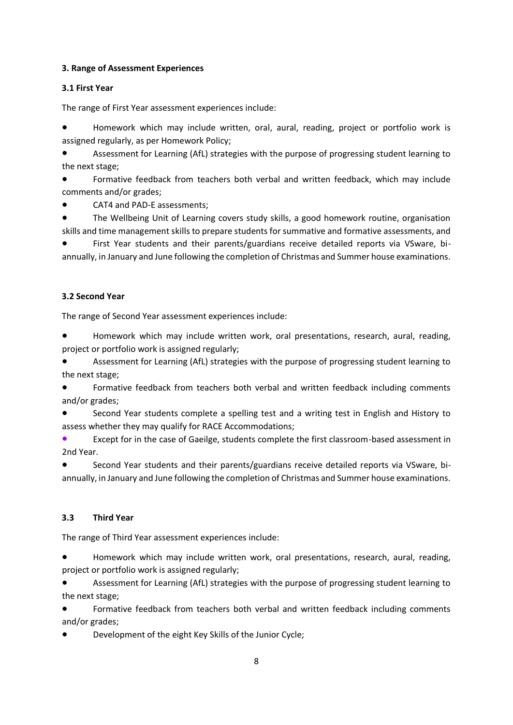## **3. Range of Assessment Experiences**

## **3.1 First Year**

The range of First Year assessment experiences include:

Homework which may include written, oral, aural, reading, project or portfolio work is assigned regularly, as per Homework Policy;

Assessment for Learning (AfL) strategies with the purpose of progressing student learning to the next stage;

Formative feedback from teachers both verbal and written feedback, which may include comments and/or grades;

CAT4 and PAD-E assessments;

The Wellbeing Unit of Learning covers study skills, a good homework routine, organisation skills and time management skills to prepare students for summative and formative assessments, and

First Year students and their parents/guardians receive detailed reports via VSware, biannually, in January and June following the completion of Christmas and Summer house examinations.

## **3.2 Second Year**

The range of Second Year assessment experiences include:

● Homework which may include written work, oral presentations, research, aural, reading, project or portfolio work is assigned regularly;

Assessment for Learning (AfL) strategies with the purpose of progressing student learning to the next stage;

Formative feedback from teachers both verbal and written feedback including comments and/or grades;

Second Year students complete a spelling test and a writing test in English and History to assess whether they may qualify for RACE Accommodations;

Except for in the case of Gaeilge, students complete the first classroom-based assessment in 2nd Year.

Second Year students and their parents/guardians receive detailed reports via VSware, biannually, in January and June following the completion of Christmas and Summer house examinations.

## **3.3 Third Year**

The range of Third Year assessment experiences include:

Homework which may include written work, oral presentations, research, aural, reading, project or portfolio work is assigned regularly;

Assessment for Learning (AfL) strategies with the purpose of progressing student learning to the next stage;

Formative feedback from teachers both verbal and written feedback including comments and/or grades;

Development of the eight Key Skills of the Junior Cycle;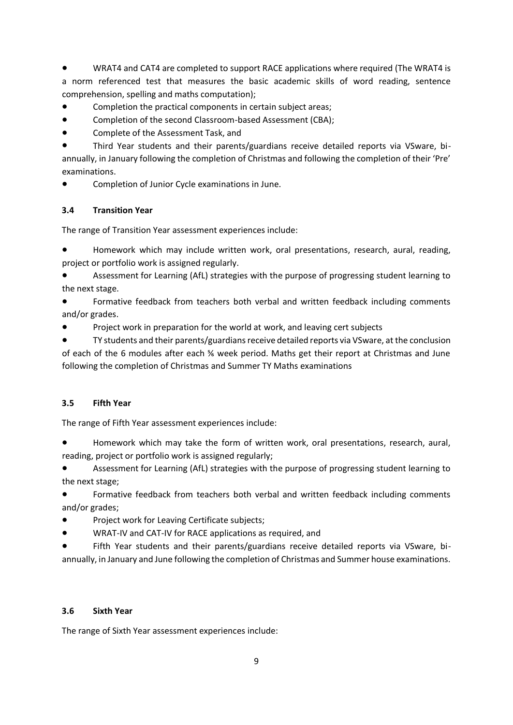WRAT4 and CAT4 are completed to support RACE applications where required (The WRAT4 is a norm referenced test that measures the basic academic skills of word reading, sentence comprehension, spelling and maths computation);

- Completion the practical components in certain subject areas;
- Completion of the second Classroom-based Assessment (CBA);
- Complete of the Assessment Task, and

Third Year students and their parents/guardians receive detailed reports via VSware, biannually, in January following the completion of Christmas and following the completion of their 'Pre' examinations.

Completion of Junior Cycle examinations in June.

## **3.4 Transition Year**

The range of Transition Year assessment experiences include:

● Homework which may include written work, oral presentations, research, aural, reading, project or portfolio work is assigned regularly.

Assessment for Learning (AfL) strategies with the purpose of progressing student learning to the next stage.

Formative feedback from teachers both verbal and written feedback including comments and/or grades.

Project work in preparation for the world at work, and leaving cert subjects

TY students and their parents/guardians receive detailed reports via VSware, at the conclusion of each of the 6 modules after each ⅚ week period. Maths get their report at Christmas and June following the completion of Christmas and Summer TY Maths examinations

## **3.5 Fifth Year**

The range of Fifth Year assessment experiences include:

● Homework which may take the form of written work, oral presentations, research, aural, reading, project or portfolio work is assigned regularly;

Assessment for Learning (AfL) strategies with the purpose of progressing student learning to the next stage;

Formative feedback from teachers both verbal and written feedback including comments and/or grades;

- Project work for Leaving Certificate subjects;
- WRAT-IV and CAT-IV for RACE applications as required, and

Fifth Year students and their parents/guardians receive detailed reports via VSware, biannually, in January and June following the completion of Christmas and Summer house examinations.

#### **3.6 Sixth Year**

The range of Sixth Year assessment experiences include: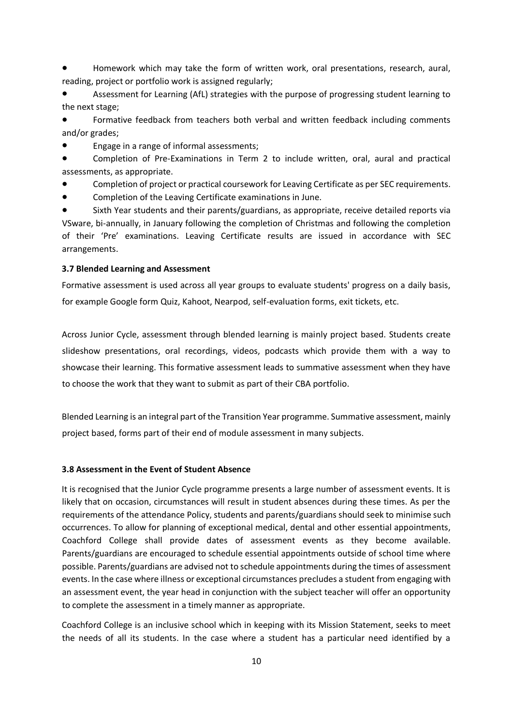Homework which may take the form of written work, oral presentations, research, aural, reading, project or portfolio work is assigned regularly;

● Assessment for Learning (AfL) strategies with the purpose of progressing student learning to the next stage;

Formative feedback from teachers both verbal and written feedback including comments and/or grades;

Engage in a range of informal assessments;

Completion of Pre-Examinations in Term 2 to include written, oral, aural and practical assessments, as appropriate.

Completion of project or practical coursework for Leaving Certificate as per SEC requirements.

Completion of the Leaving Certificate examinations in June.

Sixth Year students and their parents/guardians, as appropriate, receive detailed reports via VSware, bi-annually, in January following the completion of Christmas and following the completion of their 'Pre' examinations. Leaving Certificate results are issued in accordance with SEC arrangements.

#### **3.7 Blended Learning and Assessment**

Formative assessment is used across all year groups to evaluate students' progress on a daily basis, for example Google form Quiz, Kahoot, Nearpod, self-evaluation forms, exit tickets, etc.

Across Junior Cycle, assessment through blended learning is mainly project based. Students create slideshow presentations, oral recordings, videos, podcasts which provide them with a way to showcase their learning. This formative assessment leads to summative assessment when they have to choose the work that they want to submit as part of their CBA portfolio.

Blended Learning is an integral part of the Transition Year programme. Summative assessment, mainly project based, forms part of their end of module assessment in many subjects.

#### **3.8 Assessment in the Event of Student Absence**

It is recognised that the Junior Cycle programme presents a large number of assessment events. It is likely that on occasion, circumstances will result in student absences during these times. As per the requirements of the attendance Policy, students and parents/guardians should seek to minimise such occurrences. To allow for planning of exceptional medical, dental and other essential appointments, Coachford College shall provide dates of assessment events as they become available. Parents/guardians are encouraged to schedule essential appointments outside of school time where possible. Parents/guardians are advised not to schedule appointments during the times of assessment events. In the case where illness or exceptional circumstances precludes a student from engaging with an assessment event, the year head in conjunction with the subject teacher will offer an opportunity to complete the assessment in a timely manner as appropriate.

Coachford College is an inclusive school which in keeping with its Mission Statement, seeks to meet the needs of all its students. In the case where a student has a particular need identified by a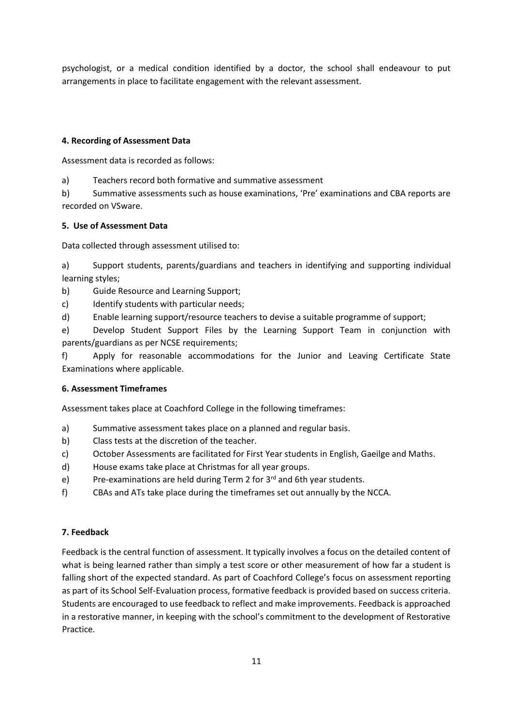psychologist, or a medical condition identified by a doctor, the school shall endeavour to put arrangements in place to facilitate engagement with the relevant assessment.

## **4. Recording of Assessment Data**

Assessment data is recorded as follows:

a) Teachers record both formative and summative assessment

b) Summative assessments such as house examinations, 'Pre' examinations and CBA reports are recorded on VSware.

## **5. Use of Assessment Data**

Data collected through assessment utilised to:

a) Support students, parents/guardians and teachers in identifying and supporting individual learning styles;

- b) Guide Resource and Learning Support;
- c) Identify students with particular needs;
- d) Enable learning support/resource teachers to devise a suitable programme of support;

e) Develop Student Support Files by the Learning Support Team in conjunction with parents/guardians as per NCSE requirements;

f) Apply for reasonable accommodations for the Junior and Leaving Certificate State Examinations where applicable.

## **6. Assessment Timeframes**

Assessment takes place at Coachford College in the following timeframes:

- a) Summative assessment takes place on a planned and regular basis.
- b) Class tests at the discretion of the teacher.
- c) October Assessments are facilitated for First Year students in English, Gaeilge and Maths.
- d) House exams take place at Christmas for all year groups.
- e) Pre-examinations are held during Term 2 for  $3<sup>rd</sup>$  and 6th year students.
- f) CBAs and ATs take place during the timeframes set out annually by the NCCA.

## **7. Feedback**

Feedback is the central function of assessment. It typically involves a focus on the detailed content of what is being learned rather than simply a test score or other measurement of how far a student is falling short of the expected standard. As part of Coachford College's focus on assessment reporting as part of its School Self-Evaluation process, formative feedback is provided based on success criteria. Students are encouraged to use feedback to reflect and make improvements. Feedback is approached in a restorative manner, in keeping with the school's commitment to the development of Restorative Practice.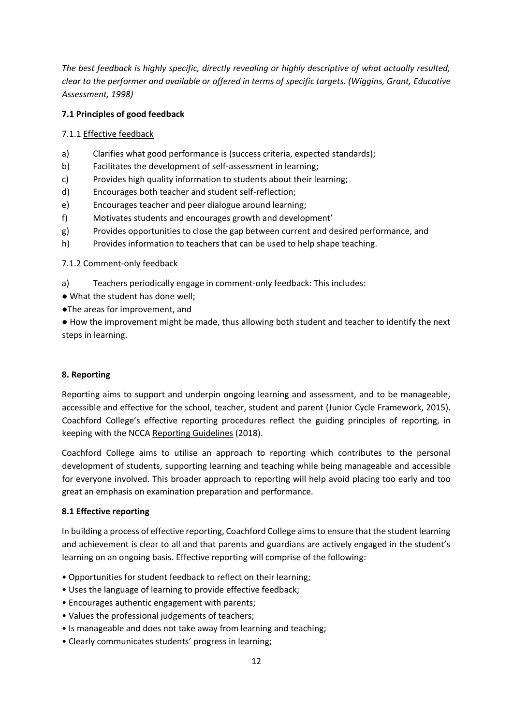*The best feedback is highly specific, directly revealing or highly descriptive of what actually resulted, clear to the performer and available or offered in terms of specific targets. (Wiggins, Grant, Educative Assessment, 1998)* 

#### **7.1 Principles of good feedback**

#### 7.1.1 Effective feedback

- a) Clarifies what good performance is (success criteria, expected standards);
- b) Facilitates the development of self-assessment in learning;
- c) Provides high quality information to students about their learning;
- d) Encourages both teacher and student self-reflection;
- e) Encourages teacher and peer dialogue around learning;
- f) Motivates students and encourages growth and development'
- g) Provides opportunities to close the gap between current and desired performance, and
- h) Provides information to teachers that can be used to help shape teaching.

#### 7.1.2 Comment-only feedback

- a) Teachers periodically engage in comment-only feedback: This includes:
- What the student has done well;
- ●The areas for improvement, and

● How the improvement might be made, thus allowing both student and teacher to identify the next steps in learning.

#### **8. Reporting**

Reporting aims to support and underpin ongoing learning and assessment, and to be manageable, accessible and effective for the school, teacher, student and parent (Junior Cycle Framework, 2015). Coachford College's effective reporting procedures reflect the guiding principles of reporting, in keeping with the NCCA Reporting Guidelines (2018).

Coachford College aims to utilise an approach to reporting which contributes to the personal development of students, supporting learning and teaching while being manageable and accessible for everyone involved. This broader approach to reporting will help avoid placing too early and too great an emphasis on examination preparation and performance.

#### **8.1 Effective reporting**

In building a process of effective reporting, Coachford College aims to ensure that the student learning and achievement is clear to all and that parents and guardians are actively engaged in the student's learning on an ongoing basis. Effective reporting will comprise of the following:

- Opportunities for student feedback to reflect on their learning;
- Uses the language of learning to provide effective feedback;
- Encourages authentic engagement with parents;
- Values the professional judgements of teachers;
- Is manageable and does not take away from learning and teaching;
- Clearly communicates students' progress in learning;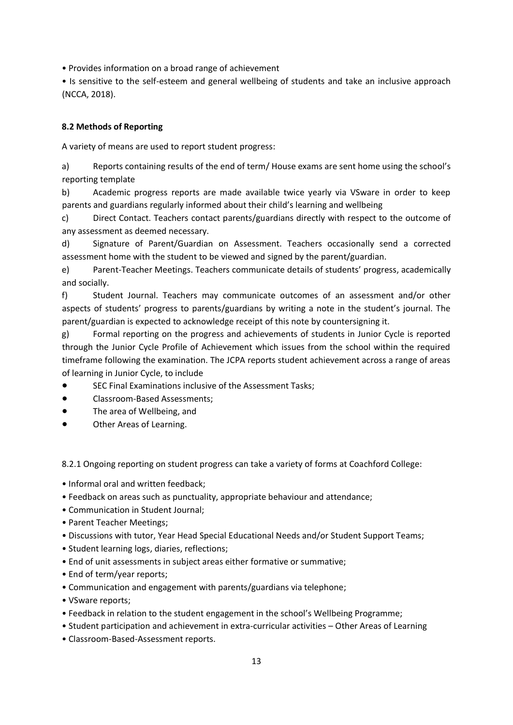• Provides information on a broad range of achievement

• Is sensitive to the self-esteem and general wellbeing of students and take an inclusive approach (NCCA, 2018).

## **8.2 Methods of Reporting**

A variety of means are used to report student progress:

a) Reports containing results of the end of term/ House exams are sent home using the school's reporting template

b) Academic progress reports are made available twice yearly via VSware in order to keep parents and guardians regularly informed about their child's learning and wellbeing

c) Direct Contact. Teachers contact parents/guardians directly with respect to the outcome of any assessment as deemed necessary.

d) Signature of Parent/Guardian on Assessment. Teachers occasionally send a corrected assessment home with the student to be viewed and signed by the parent/guardian.

e) Parent-Teacher Meetings. Teachers communicate details of students' progress, academically and socially.

f) Student Journal. Teachers may communicate outcomes of an assessment and/or other aspects of students' progress to parents/guardians by writing a note in the student's journal. The parent/guardian is expected to acknowledge receipt of this note by countersigning it.

g) Formal reporting on the progress and achievements of students in Junior Cycle is reported through the Junior Cycle Profile of Achievement which issues from the school within the required timeframe following the examination. The JCPA reports student achievement across a range of areas of learning in Junior Cycle, to include

- SEC Final Examinations inclusive of the Assessment Tasks;
- Classroom-Based Assessments;
- The area of Wellbeing, and
- Other Areas of Learning.

8.2.1 Ongoing reporting on student progress can take a variety of forms at Coachford College:

- Informal oral and written feedback;
- Feedback on areas such as punctuality, appropriate behaviour and attendance;
- Communication in Student Journal;
- Parent Teacher Meetings;
- Discussions with tutor, Year Head Special Educational Needs and/or Student Support Teams;
- Student learning logs, diaries, reflections;
- End of unit assessments in subject areas either formative or summative;
- End of term/year reports;
- Communication and engagement with parents/guardians via telephone;
- VSware reports;
- Feedback in relation to the student engagement in the school's Wellbeing Programme;
- Student participation and achievement in extra-curricular activities Other Areas of Learning
- Classroom-Based-Assessment reports.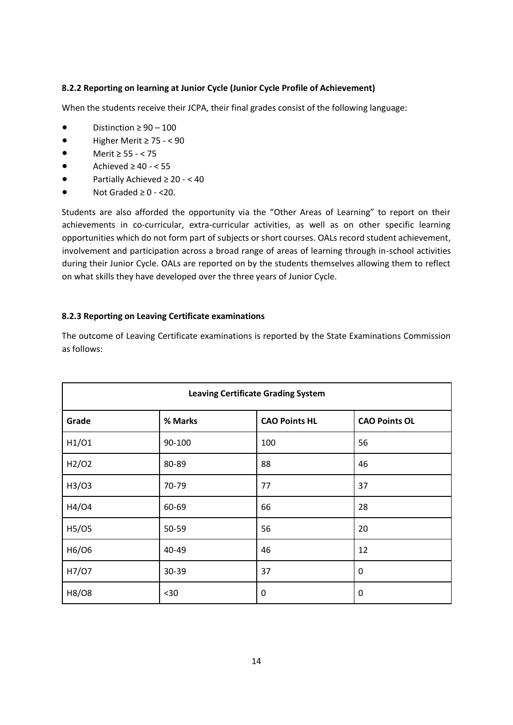## **8.2.2 Reporting on learning at Junior Cycle (Junior Cycle Profile of Achievement)**

When the students receive their JCPA, their final grades consist of the following language:

- Distinction  $\geq 90 100$
- Higher Merit ≥ 75 < 90
- Merit ≥ 55 < 75
- Achieved  $\geq 40 55$
- Partially Achieved  $\geq 20 < 40$
- Not Graded  $\geq 0$  <20.

Students are also afforded the opportunity via the "Other Areas of Learning" to report on their achievements in co-curricular, extra-curricular activities, as well as on other specific learning opportunities which do not form part of subjects or short courses. OALs record student achievement, involvement and participation across a broad range of areas of learning through in-school activities during their Junior Cycle. OALs are reported on by the students themselves allowing them to reflect on what skills they have developed over the three years of Junior Cycle.

#### **8.2.3 Reporting on Leaving Certificate examinations**

| <b>Leaving Certificate Grading System</b> |         |                      |                      |  |
|-------------------------------------------|---------|----------------------|----------------------|--|
| Grade                                     | % Marks | <b>CAO Points HL</b> | <b>CAO Points OL</b> |  |
| H1/O1                                     | 90-100  | 100                  | 56                   |  |
| H2/O2                                     | 80-89   | 88                   | 46                   |  |
| H3/03                                     | 70-79   | 77                   | 37                   |  |
| H4/04                                     | 60-69   | 66                   | 28                   |  |
| H5/05                                     | 50-59   | 56                   | 20                   |  |
| H6/O6                                     | 40-49   | 46                   | 12                   |  |
| H7/07                                     | 30-39   | 37                   | 0                    |  |
| H8/08                                     | $30$    | $\mathbf 0$          | 0                    |  |

The outcome of Leaving Certificate examinations is reported by the State Examinations Commission as follows: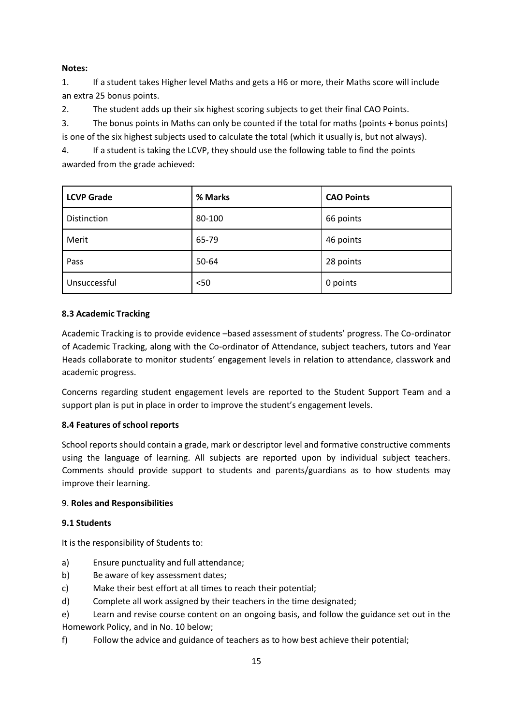## **Notes:**

1. If a student takes Higher level Maths and gets a H6 or more, their Maths score will include an extra 25 bonus points.

2. The student adds up their six highest scoring subjects to get their final CAO Points.

3. The bonus points in Maths can only be counted if the total for maths (points + bonus points) is one of the six highest subjects used to calculate the total (which it usually is, but not always).

4. If a student is taking the LCVP, they should use the following table to find the points awarded from the grade achieved:

| <b>LCVP Grade</b> | % Marks | <b>CAO Points</b> |
|-------------------|---------|-------------------|
| Distinction       | 80-100  | 66 points         |
| Merit             | 65-79   | 46 points         |
| Pass              | 50-64   | 28 points         |
| Unsuccessful      | < 50    | 0 points          |

## **8.3 Academic Tracking**

Academic Tracking is to provide evidence –based assessment of students' progress. The Co-ordinator of Academic Tracking, along with the Co-ordinator of Attendance, subject teachers, tutors and Year Heads collaborate to monitor students' engagement levels in relation to attendance, classwork and academic progress.

Concerns regarding student engagement levels are reported to the Student Support Team and a support plan is put in place in order to improve the student's engagement levels.

## **8.4 Features of school reports**

School reports should contain a grade, mark or descriptor level and formative constructive comments using the language of learning. All subjects are reported upon by individual subject teachers. Comments should provide support to students and parents/guardians as to how students may improve their learning.

#### 9. **Roles and Responsibilities**

#### **9.1 Students**

It is the responsibility of Students to:

- a) Ensure punctuality and full attendance;
- b) Be aware of key assessment dates;
- c) Make their best effort at all times to reach their potential;
- d) Complete all work assigned by their teachers in the time designated;
- e) Learn and revise course content on an ongoing basis, and follow the guidance set out in the Homework Policy, and in No. 10 below;
- f) Follow the advice and guidance of teachers as to how best achieve their potential;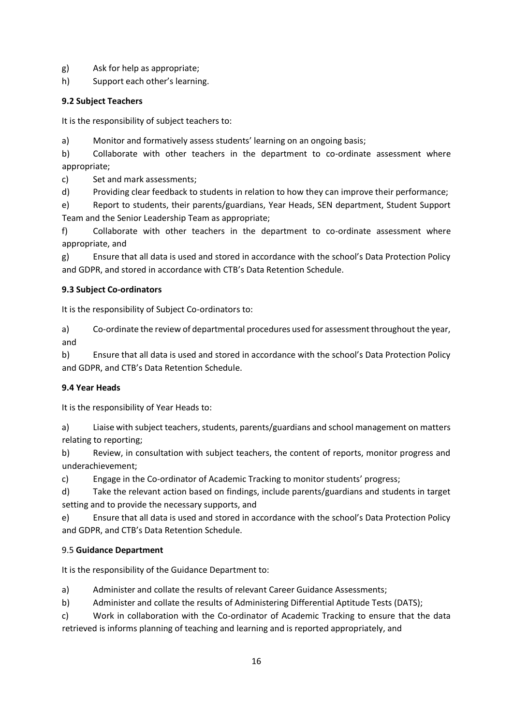- g) Ask for help as appropriate;
- h) Support each other's learning.

## **9.2 Subject Teachers**

It is the responsibility of subject teachers to:

a) Monitor and formatively assess students' learning on an ongoing basis;

b) Collaborate with other teachers in the department to co-ordinate assessment where appropriate;

c) Set and mark assessments;

d) Providing clear feedback to students in relation to how they can improve their performance;

e) Report to students, their parents/guardians, Year Heads, SEN department, Student Support Team and the Senior Leadership Team as appropriate;

f) Collaborate with other teachers in the department to co-ordinate assessment where appropriate, and

g) Ensure that all data is used and stored in accordance with the school's Data Protection Policy and GDPR, and stored in accordance with CTB's Data Retention Schedule.

## **9.3 Subject Co-ordinators**

It is the responsibility of Subject Co-ordinators to:

a) Co-ordinate the review of departmental procedures used for assessment throughout the year, and

b) Ensure that all data is used and stored in accordance with the school's Data Protection Policy and GDPR, and CTB's Data Retention Schedule.

## **9.4 Year Heads**

It is the responsibility of Year Heads to:

a) Liaise with subject teachers, students, parents/guardians and school management on matters relating to reporting;

b) Review, in consultation with subject teachers, the content of reports, monitor progress and underachievement;

c) Engage in the Co-ordinator of Academic Tracking to monitor students' progress;

d) Take the relevant action based on findings, include parents/guardians and students in target setting and to provide the necessary supports, and

e) Ensure that all data is used and stored in accordance with the school's Data Protection Policy and GDPR, and CTB's Data Retention Schedule.

## 9.5 **Guidance Department**

It is the responsibility of the Guidance Department to:

a) Administer and collate the results of relevant Career Guidance Assessments;

b) Administer and collate the results of Administering Differential Aptitude Tests (DATS);

c) Work in collaboration with the Co-ordinator of Academic Tracking to ensure that the data retrieved is informs planning of teaching and learning and is reported appropriately, and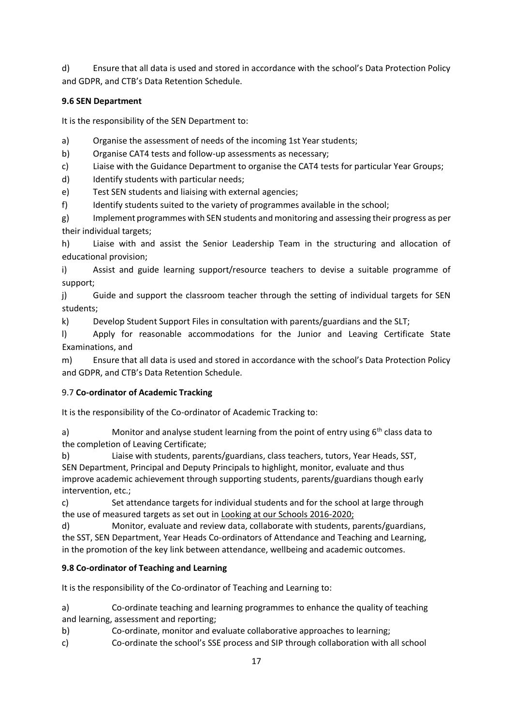d) Ensure that all data is used and stored in accordance with the school's Data Protection Policy and GDPR, and CTB's Data Retention Schedule.

## **9.6 SEN Department**

It is the responsibility of the SEN Department to:

- a) Organise the assessment of needs of the incoming 1st Year students;
- b) Organise CAT4 tests and follow-up assessments as necessary;
- c) Liaise with the Guidance Department to organise the CAT4 tests for particular Year Groups;
- d) Identify students with particular needs;
- e) Test SEN students and liaising with external agencies;
- f) Identify students suited to the variety of programmes available in the school;

g) Implement programmes with SEN students and monitoring and assessing their progress as per their individual targets;

h) Liaise with and assist the Senior Leadership Team in the structuring and allocation of educational provision;

i) Assist and guide learning support/resource teachers to devise a suitable programme of support;

j) Guide and support the classroom teacher through the setting of individual targets for SEN students;

k) Develop Student Support Files in consultation with parents/guardians and the SLT;

l) Apply for reasonable accommodations for the Junior and Leaving Certificate State Examinations, and

m) Ensure that all data is used and stored in accordance with the school's Data Protection Policy and GDPR, and CTB's Data Retention Schedule.

# 9.7 **Co-ordinator of Academic Tracking**

It is the responsibility of the Co-ordinator of Academic Tracking to:

a) Monitor and analyse student learning from the point of entry using  $6<sup>th</sup>$  class data to the completion of Leaving Certificate;

b) Liaise with students, parents/guardians, class teachers, tutors, Year Heads, SST, SEN Department, Principal and Deputy Principals to highlight, monitor, evaluate and thus improve academic achievement through supporting students, parents/guardians though early intervention, etc.;

c) Set attendance targets for individual students and for the school at large through the use of measured targets as set out in Looking at our Schools 2016-2020;

d) Monitor, evaluate and review data, collaborate with students, parents/guardians, the SST, SEN Department, Year Heads Co-ordinators of Attendance and Teaching and Learning, in the promotion of the key link between attendance, wellbeing and academic outcomes.

# **9.8 Co-ordinator of Teaching and Learning**

It is the responsibility of the Co-ordinator of Teaching and Learning to:

a) Co-ordinate teaching and learning programmes to enhance the quality of teaching and learning, assessment and reporting;

- b) Co-ordinate, monitor and evaluate collaborative approaches to learning;
- c) Co-ordinate the school's SSE process and SIP through collaboration with all school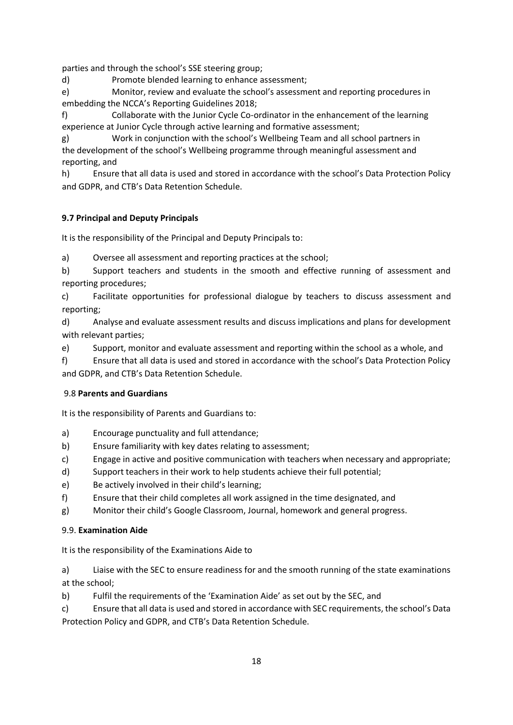parties and through the school's SSE steering group;

d) Promote blended learning to enhance assessment;

e) Monitor, review and evaluate the school's assessment and reporting procedures in embedding the NCCA's Reporting Guidelines 2018;

f) Collaborate with the Junior Cycle Co-ordinator in the enhancement of the learning experience at Junior Cycle through active learning and formative assessment;

g) Work in conjunction with the school's Wellbeing Team and all school partners in the development of the school's Wellbeing programme through meaningful assessment and reporting, and

h) Ensure that all data is used and stored in accordance with the school's Data Protection Policy and GDPR, and CTB's Data Retention Schedule.

# **9.7 Principal and Deputy Principals**

It is the responsibility of the Principal and Deputy Principals to:

a) Oversee all assessment and reporting practices at the school;

b) Support teachers and students in the smooth and effective running of assessment and reporting procedures;

c) Facilitate opportunities for professional dialogue by teachers to discuss assessment and reporting;

d) Analyse and evaluate assessment results and discuss implications and plans for development with relevant parties;

e) Support, monitor and evaluate assessment and reporting within the school as a whole, and

f) Ensure that all data is used and stored in accordance with the school's Data Protection Policy and GDPR, and CTB's Data Retention Schedule.

## 9.8 **Parents and Guardians**

It is the responsibility of Parents and Guardians to:

- a) Encourage punctuality and full attendance;
- b) Ensure familiarity with key dates relating to assessment;
- c) Engage in active and positive communication with teachers when necessary and appropriate;
- d) Support teachers in their work to help students achieve their full potential;
- e) Be actively involved in their child's learning;
- f) Ensure that their child completes all work assigned in the time designated, and
- g) Monitor their child's Google Classroom, Journal, homework and general progress.

## 9.9. **Examination Aide**

It is the responsibility of the Examinations Aide to

a) Liaise with the SEC to ensure readiness for and the smooth running of the state examinations at the school;

b) Fulfil the requirements of the 'Examination Aide' as set out by the SEC, and

c) Ensure that all data is used and stored in accordance with SEC requirements, the school's Data Protection Policy and GDPR, and CTB's Data Retention Schedule.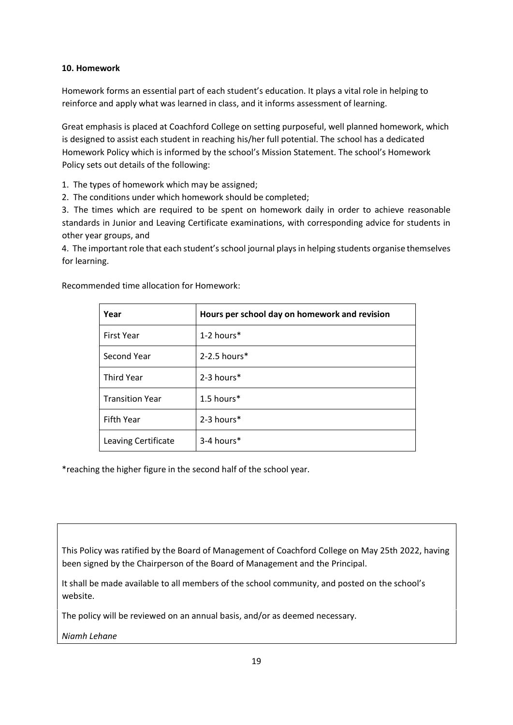## **10. Homework**

Homework forms an essential part of each student's education. It plays a vital role in helping to reinforce and apply what was learned in class, and it informs assessment of learning.

Great emphasis is placed at Coachford College on setting purposeful, well planned homework, which is designed to assist each student in reaching his/her full potential. The school has a dedicated Homework Policy which is informed by the school's Mission Statement. The school's Homework Policy sets out details of the following:

1. The types of homework which may be assigned;

2. The conditions under which homework should be completed;

3. The times which are required to be spent on homework daily in order to achieve reasonable standards in Junior and Leaving Certificate examinations, with corresponding advice for students in other year groups, and

4. The important role that each student's school journal plays in helping students organise themselves for learning.

| Year                   | Hours per school day on homework and revision |
|------------------------|-----------------------------------------------|
| <b>First Year</b>      | 1-2 hours $*$                                 |
| Second Year            | $2-2.5$ hours $*$                             |
| <b>Third Year</b>      | 2-3 hours*                                    |
| <b>Transition Year</b> | 1.5 hours*                                    |
| <b>Fifth Year</b>      | $2-3$ hours $*$                               |
| Leaving Certificate    | $3-4$ hours*                                  |

Recommended time allocation for Homework:

\*reaching the higher figure in the second half of the school year.

This Policy was ratified by the Board of Management of Coachford College on May 25th 2022, having been signed by the Chairperson of the Board of Management and the Principal.

It shall be made available to all members of the school community, and posted on the school's website.

The policy will be reviewed on an annual basis, and/or as deemed necessary.

*Niamh Lehane*